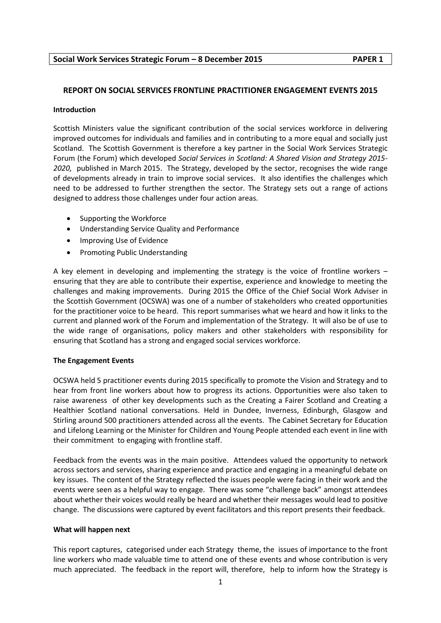# **Social Work Services Strategic Forum – 8 December 2015 PAPER 1**

# **REPORT ON SOCIAL SERVICES FRONTLINE PRACTITIONER ENGAGEMENT EVENTS 2015**

### **Introduction**

Scottish Ministers value the significant contribution of the social services workforce in delivering improved outcomes for individuals and families and in contributing to a more equal and socially just Scotland. The Scottish Government is therefore a key partner in the Social Work Services Strategic Forum (the Forum) which developed *Social Services in Scotland: A Shared Vision and Strategy 2015- 2020,* published in March 2015. The Strategy, developed by the sector, recognises the wide range of developments already in train to improve social services. It also identifies the challenges which need to be addressed to further strengthen the sector. The Strategy sets out a range of actions designed to address those challenges under four action areas.

- Supporting the Workforce
- Understanding Service Quality and Performance
- Improving Use of Evidence
- Promoting Public Understanding

A key element in developing and implementing the strategy is the voice of frontline workers – ensuring that they are able to contribute their expertise, experience and knowledge to meeting the challenges and making improvements. During 2015 the Office of the Chief Social Work Adviser in the Scottish Government (OCSWA) was one of a number of stakeholders who created opportunities for the practitioner voice to be heard. This report summarises what we heard and how it links to the current and planned work of the Forum and implementation of the Strategy. It will also be of use to the wide range of organisations, policy makers and other stakeholders with responsibility for ensuring that Scotland has a strong and engaged social services workforce.

### **The Engagement Events**

OCSWA held 5 practitioner events during 2015 specifically to promote the Vision and Strategy and to hear from front line workers about how to progress its actions. Opportunities were also taken to raise awareness of other key developments such as the Creating a Fairer Scotland and Creating a Healthier Scotland national conversations. Held in Dundee, Inverness, Edinburgh, Glasgow and Stirling around 500 practitioners attended across all the events. The Cabinet Secretary for Education and Lifelong Learning or the Minister for Children and Young People attended each event in line with their commitment to engaging with frontline staff.

Feedback from the events was in the main positive. Attendees valued the opportunity to network across sectors and services, sharing experience and practice and engaging in a meaningful debate on key issues. The content of the Strategy reflected the issues people were facing in their work and the events were seen as a helpful way to engage. There was some "challenge back" amongst attendees about whether their voices would really be heard and whether their messages would lead to positive change. The discussions were captured by event facilitators and this report presents their feedback.

### **What will happen next**

This report captures, categorised under each Strategy theme, the issues of importance to the front line workers who made valuable time to attend one of these events and whose contribution is very much appreciated. The feedback in the report will, therefore, help to inform how the Strategy is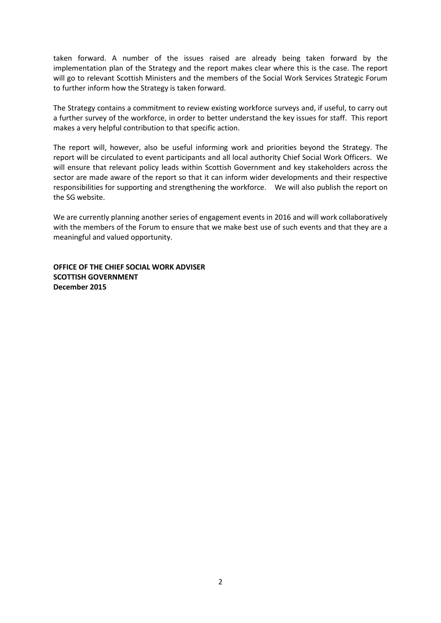taken forward. A number of the issues raised are already being taken forward by the implementation plan of the Strategy and the report makes clear where this is the case. The report will go to relevant Scottish Ministers and the members of the Social Work Services Strategic Forum to further inform how the Strategy is taken forward.

The Strategy contains a commitment to review existing workforce surveys and, if useful, to carry out a further survey of the workforce, in order to better understand the key issues for staff. This report makes a very helpful contribution to that specific action.

The report will, however, also be useful informing work and priorities beyond the Strategy. The report will be circulated to event participants and all local authority Chief Social Work Officers. We will ensure that relevant policy leads within Scottish Government and key stakeholders across the sector are made aware of the report so that it can inform wider developments and their respective responsibilities for supporting and strengthening the workforce. We will also publish the report on the SG website.

We are currently planning another series of engagement events in 2016 and will work collaboratively with the members of the Forum to ensure that we make best use of such events and that they are a meaningful and valued opportunity.

**OFFICE OF THE CHIEF SOCIAL WORK ADVISER SCOTTISH GOVERNMENT December 2015**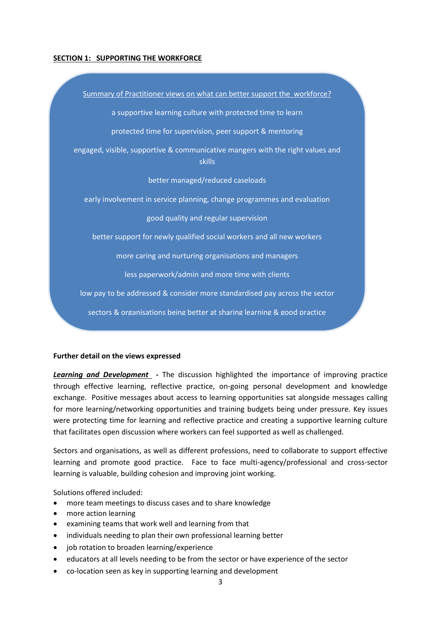### **SECTION 1: SUPPORTING THE WORKFORCE**

Summary of Practitioner views on what can better support the workforce? a supportive learning culture with protected time to learn protected time for supervision, peer support & mentoring engaged, visible, supportive & communicative mangers with the right values and skills better managed/reduced caseloads early involvement in service planning, change programmes and evaluation good quality and regular supervision better support for newly qualified social workers and all new workers more caring and nurturing organisations and managers less paperwork/admin and more time with clients low pay to be addressed & consider more standardised pay across the sector sectors & organisations being better at sharing learning & good practice

improved use of and access to technology to technology to support  $\mathcal{C}$ 

#### **Further detail on the views expressed**

**Learning and Development** - The discussion highlighted the importance of improving practice through effective learning, reflective practice, on-going personal development and knowledge exchange. Positive messages about access to learning opportunities sat alongside messages calling for more learning/networking opportunities and training budgets being under pressure. Key issues were protecting time for learning and reflective practice and creating a supportive learning culture that facilitates open discussion where workers can feel supported as well as challenged.

Sectors and organisations, as well as different professions, need to collaborate to support effective learning and promote good practice. Face to face multi-agency/professional and cross-sector learning is valuable, building cohesion and improving joint working.

Solutions offered included:

- more team meetings to discuss cases and to share knowledge
- more action learning
- examining teams that work well and learning from that
- individuals needing to plan their own professional learning better
- job rotation to broaden learning/experience
- educators at all levels needing to be from the sector or have experience of the sector
- co-location seen as key in supporting learning and development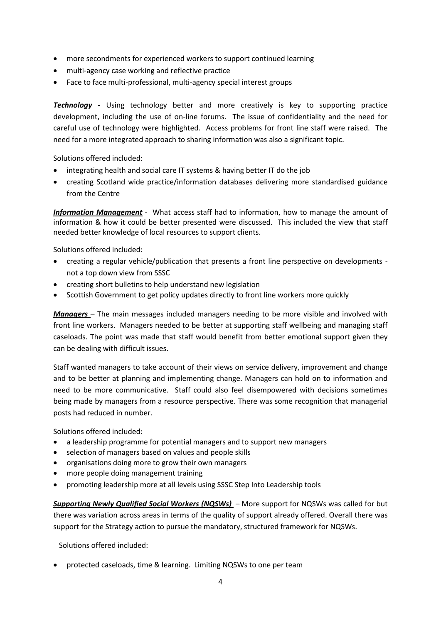- more secondments for experienced workers to support continued learning
- multi-agency case working and reflective practice
- Face to face multi-professional, multi-agency special interest groups

**Technology** - Using technology better and more creatively is key to supporting practice development, including the use of on-line forums. The issue of confidentiality and the need for careful use of technology were highlighted. Access problems for front line staff were raised. The need for a more integrated approach to sharing information was also a significant topic.

Solutions offered included:

- integrating health and social care IT systems & having better IT do the job
- creating Scotland wide practice/information databases delivering more standardised guidance from the Centre

*Information Management* - What access staff had to information, how to manage the amount of information & how it could be better presented were discussed. This included the view that staff needed better knowledge of local resources to support clients.

Solutions offered included:

- creating a regular vehicle/publication that presents a front line perspective on developments not a top down view from SSSC
- creating short bulletins to help understand new legislation
- Scottish Government to get policy updates directly to front line workers more quickly

*Managers* – The main messages included managers needing to be more visible and involved with front line workers. Managers needed to be better at supporting staff wellbeing and managing staff caseloads. The point was made that staff would benefit from better emotional support given they can be dealing with difficult issues.

Staff wanted managers to take account of their views on service delivery, improvement and change and to be better at planning and implementing change. Managers can hold on to information and need to be more communicative. Staff could also feel disempowered with decisions sometimes being made by managers from a resource perspective. There was some recognition that managerial posts had reduced in number.

Solutions offered included:

- a leadership programme for potential managers and to support new managers
- selection of managers based on values and people skills
- organisations doing more to grow their own managers
- more people doing management training
- promoting leadership more at all levels using SSSC Step Into Leadership tools

*Supporting Newly Qualified Social Workers (NQSWs)* – More support for NQSWs was called for but there was variation across areas in terms of the quality of support already offered. Overall there was support for the Strategy action to pursue the mandatory, structured framework for NQSWs.

Solutions offered included:

protected caseloads, time & learning. Limiting NQSWs to one per team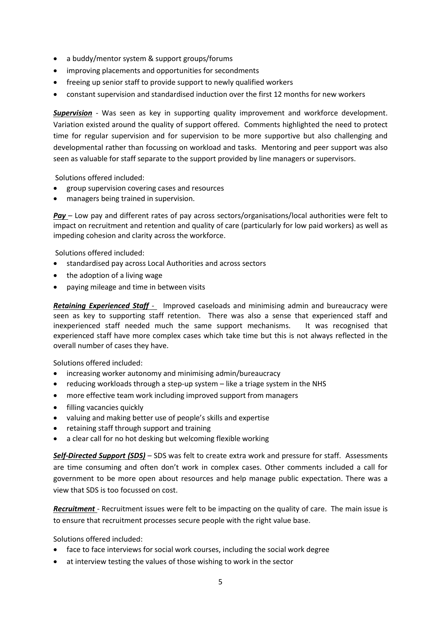- a buddy/mentor system & support groups/forums
- improving placements and opportunities for secondments
- freeing up senior staff to provide support to newly qualified workers
- constant supervision and standardised induction over the first 12 months for new workers

**Supervision** - Was seen as key in supporting quality improvement and workforce development. Variation existed around the quality of support offered. Comments highlighted the need to protect time for regular supervision and for supervision to be more supportive but also challenging and developmental rather than focussing on workload and tasks. Mentoring and peer support was also seen as valuable for staff separate to the support provided by line managers or supervisors.

Solutions offered included:

- group supervision covering cases and resources
- managers being trained in supervision.

*Pay* – Low pay and different rates of pay across sectors/organisations/local authorities were felt to impact on recruitment and retention and quality of care (particularly for low paid workers) as well as impeding cohesion and clarity across the workforce.

Solutions offered included:

- standardised pay across Local Authorities and across sectors
- the adoption of a living wage
- paying mileage and time in between visits

*Retaining Experienced Staff* - Improved caseloads and minimising admin and bureaucracy were seen as key to supporting staff retention. There was also a sense that experienced staff and inexperienced staff needed much the same support mechanisms. It was recognised that experienced staff have more complex cases which take time but this is not always reflected in the overall number of cases they have.

Solutions offered included:

- increasing worker autonomy and minimising admin/bureaucracy
- reducing workloads through a step-up system like a triage system in the NHS
- more effective team work including improved support from managers
- filling vacancies quickly
- valuing and making better use of people's skills and expertise
- retaining staff through support and training
- a clear call for no hot desking but welcoming flexible working

*Self-Directed Support (SDS)* – SDS was felt to create extra work and pressure for staff. Assessments are time consuming and often don't work in complex cases. Other comments included a call for government to be more open about resources and help manage public expectation. There was a view that SDS is too focussed on cost.

*Recruitment* - Recruitment issues were felt to be impacting on the quality of care. The main issue is to ensure that recruitment processes secure people with the right value base.

Solutions offered included:

- face to face interviews for social work courses, including the social work degree
- at interview testing the values of those wishing to work in the sector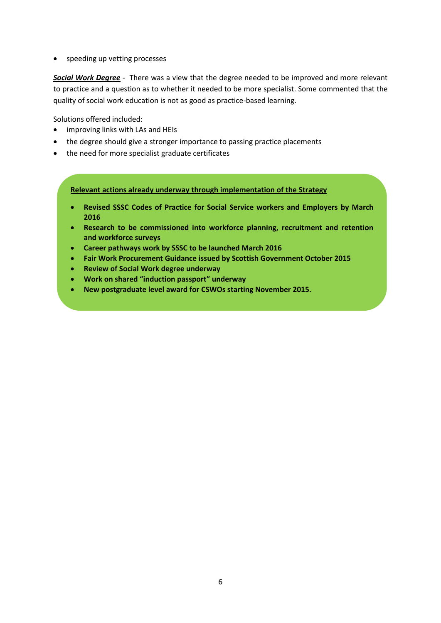• speeding up vetting processes

*Social Work Degree* - There was a view that the degree needed to be improved and more relevant to practice and a question as to whether it needed to be more specialist. Some commented that the quality of social work education is not as good as practice-based learning.

Solutions offered included:

- improving links with LAs and HEIs
- the degree should give a stronger importance to passing practice placements
- the need for more specialist graduate certificates

**Relevant actions already underway through implementation of the Strategy**

- **Revised SSSC Codes of Practice for Social Service workers and Employers by March 2016**
- **Research to be commissioned into workforce planning, recruitment and retention and workforce surveys**
- **Career pathways work by SSSC to be launched March 2016**
- **Fair Work Procurement Guidance issued by Scottish Government October 2015**
- **Review of Social Work degree underway**
- **Work on shared "induction passport" underway**
- **New postgraduate level award for CSWOs starting November 2015.**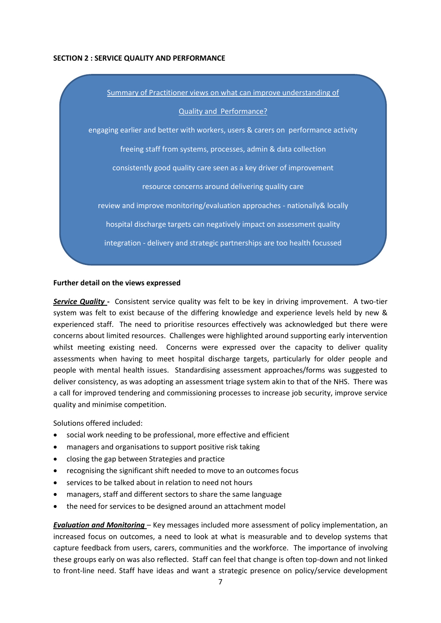#### **SECTION 2 : SERVICE QUALITY AND PERFORMANCE**



#### **Further detail on the views expressed**

*Service Quality* **-** Consistent service quality was felt to be key in driving improvement. A two-tier system was felt to exist because of the differing knowledge and experience levels held by new & experienced staff. The need to prioritise resources effectively was acknowledged but there were concerns about limited resources. Challenges were highlighted around supporting early intervention whilst meeting existing need. Concerns were expressed over the capacity to deliver quality assessments when having to meet hospital discharge targets, particularly for older people and people with mental health issues. Standardising assessment approaches/forms was suggested to deliver consistency, as was adopting an assessment triage system akin to that of the NHS. There was a call for improved tendering and commissioning processes to increase job security, improve service quality and minimise competition.

Solutions offered included:

- social work needing to be professional, more effective and efficient
- managers and organisations to support positive risk taking
- closing the gap between Strategies and practice
- recognising the significant shift needed to move to an outcomes focus
- services to be talked about in relation to need not hours
- managers, staff and different sectors to share the same language
- the need for services to be designed around an attachment model

*Evaluation and Monitoring* – Key messages included more assessment of policy implementation, an increased focus on outcomes, a need to look at what is measurable and to develop systems that capture feedback from users, carers, communities and the workforce. The importance of involving these groups early on was also reflected. Staff can feel that change is often top-down and not linked to front-line need. Staff have ideas and want a strategic presence on policy/service development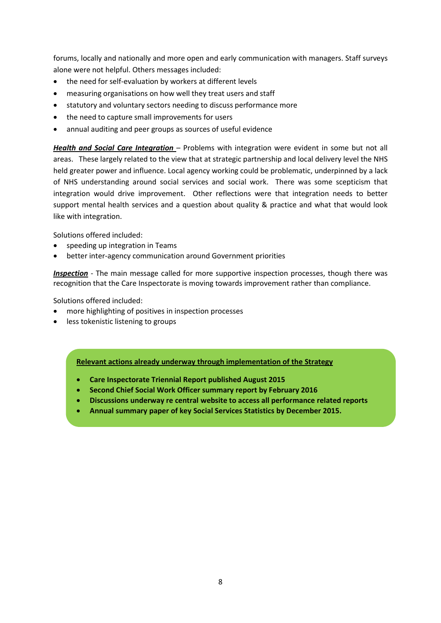forums, locally and nationally and more open and early communication with managers. Staff surveys alone were not helpful. Others messages included:

- the need for self-evaluation by workers at different levels
- measuring organisations on how well they treat users and staff
- statutory and voluntary sectors needing to discuss performance more
- the need to capture small improvements for users
- annual auditing and peer groups as sources of useful evidence

*Health and Social Care Integration* – Problems with integration were evident in some but not all areas. These largely related to the view that at strategic partnership and local delivery level the NHS held greater power and influence. Local agency working could be problematic, underpinned by a lack of NHS understanding around social services and social work. There was some scepticism that integration would drive improvement. Other reflections were that integration needs to better support mental health services and a question about quality & practice and what that would look like with integration.

Solutions offered included:

- speeding up integration in Teams
- better inter-agency communication around Government priorities

*Inspection* - The main message called for more supportive inspection processes, though there was recognition that the Care Inspectorate is moving towards improvement rather than compliance.

Solutions offered included:

- more highlighting of positives in inspection processes
- less tokenistic listening to groups

**Relevant actions already underway through implementation of the Strategy**

- **Care Inspectorate Triennial Report published August 2015**
- **Second Chief Social Work Officer summary report by February 2016**
- **Discussions underway re central website to access all performance related reports**
- **Annual summary paper of key Social Services Statistics by December 2015.**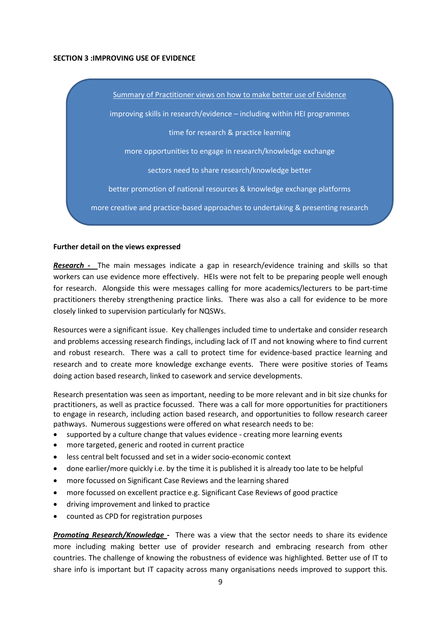#### **SECTION 3 :IMPROVING USE OF EVIDENCE**

Summary of Practitioner views on how to make better use of Evidence improving skills in research/evidence – including within HEI programmes time for research & practice learning more opportunities to engage in research/knowledge exchange sectors need to share research/knowledge better better promotion of national resources & knowledge exchange platforms more creative and practice-based approaches to undertaking & presenting research

#### **Further detail on the views expressed**

*Research* **-** The main messages indicate a gap in research/evidence training and skills so that workers can use evidence more effectively. HEIs were not felt to be preparing people well enough for research. Alongside this were messages calling for more academics/lecturers to be part-time practitioners thereby strengthening practice links. There was also a call for evidence to be more closely linked to supervision particularly for NQSWs.

Resources were a significant issue. Key challenges included time to undertake and consider research and problems accessing research findings, including lack of IT and not knowing where to find current and robust research. There was a call to protect time for evidence-based practice learning and research and to create more knowledge exchange events. There were positive stories of Teams doing action based research, linked to casework and service developments.

Research presentation was seen as important, needing to be more relevant and in bit size chunks for practitioners, as well as practice focussed. There was a call for more opportunities for practitioners to engage in research, including action based research, and opportunities to follow research career pathways. Numerous suggestions were offered on what research needs to be:

- supported by a culture change that values evidence creating more learning events
- more targeted, generic and rooted in current practice
- less central belt focussed and set in a wider socio-economic context
- done earlier/more quickly i.e. by the time it is published it is already too late to be helpful
- more focussed on Significant Case Reviews and the learning shared
- more focussed on excellent practice e.g. Significant Case Reviews of good practice
- driving improvement and linked to practice
- counted as CPD for registration purposes

*Promoting Research/Knowledge* **-** There was a view that the sector needs to share its evidence more including making better use of provider research and embracing research from other countries. The challenge of knowing the robustness of evidence was highlighted. Better use of IT to share info is important but IT capacity across many organisations needs improved to support this.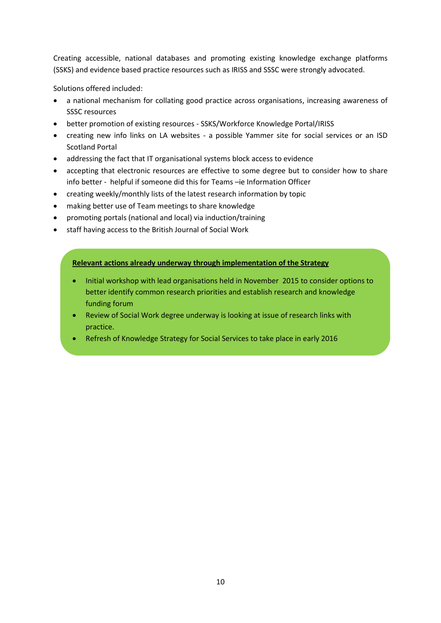Creating accessible, national databases and promoting existing knowledge exchange platforms (SSKS) and evidence based practice resources such as IRISS and SSSC were strongly advocated.

Solutions offered included:

- a national mechanism for collating good practice across organisations, increasing awareness of SSSC resources
- better promotion of existing resources SSKS/Workforce Knowledge Portal/IRISS
- creating new info links on LA websites a possible Yammer site for social services or an ISD Scotland Portal
- addressing the fact that IT organisational systems block access to evidence
- accepting that electronic resources are effective to some degree but to consider how to share info better - helpful if someone did this for Teams –ie Information Officer
- creating weekly/monthly lists of the latest research information by topic
- making better use of Team meetings to share knowledge
- promoting portals (national and local) via induction/training
- staff having access to the British Journal of Social Work

# **Relevant actions already underway through implementation of the Strategy**

- Initial workshop with lead organisations held in November 2015 to consider options to better identify common research priorities and establish research and knowledge funding forum
- Review of Social Work degree underway is looking at issue of research links with practice.
- Refresh of Knowledge Strategy for Social Services to take place in early 2016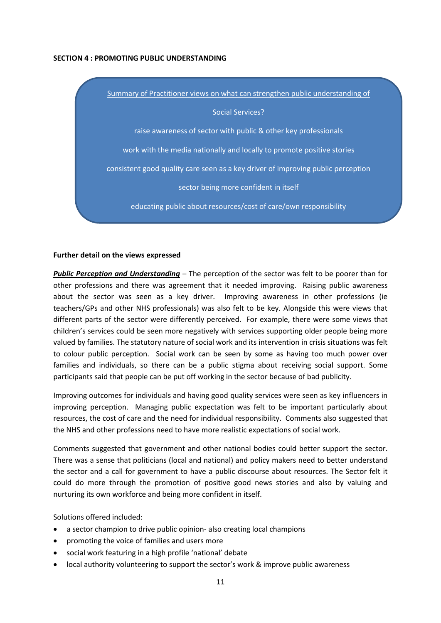#### **SECTION 4 : PROMOTING PUBLIC UNDERSTANDING**



#### **Further detail on the views expressed**

*Public Perception and Understanding* – The perception of the sector was felt to be poorer than for other professions and there was agreement that it needed improving. Raising public awareness about the sector was seen as a key driver. Improving awareness in other professions (ie teachers/GPs and other NHS professionals) was also felt to be key. Alongside this were views that different parts of the sector were differently perceived. For example, there were some views that children's services could be seen more negatively with services supporting older people being more valued by families. The statutory nature of social work and its intervention in crisis situations was felt to colour public perception. Social work can be seen by some as having too much power over families and individuals, so there can be a public stigma about receiving social support. Some participants said that people can be put off working in the sector because of bad publicity.

Improving outcomes for individuals and having good quality services were seen as key influencers in improving perception. Managing public expectation was felt to be important particularly about resources, the cost of care and the need for individual responsibility. Comments also suggested that the NHS and other professions need to have more realistic expectations of social work.

Comments suggested that government and other national bodies could better support the sector. There was a sense that politicians (local and national) and policy makers need to better understand the sector and a call for government to have a public discourse about resources. The Sector felt it could do more through the promotion of positive good news stories and also by valuing and nurturing its own workforce and being more confident in itself.

Solutions offered included:

- a sector champion to drive public opinion- also creating local champions
- promoting the voice of families and users more
- social work featuring in a high profile 'national' debate
- local authority volunteering to support the sector's work & improve public awareness